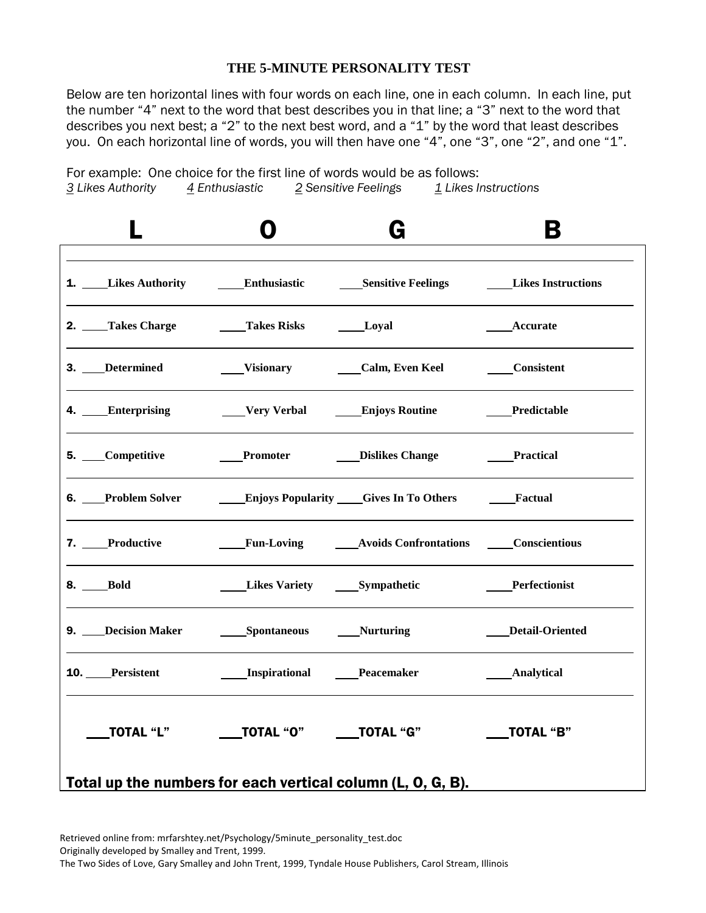### **THE 5-MINUTE PERSONALITY TEST**

Below are ten horizontal lines with four words on each line, one in each column. In each line, put the number "4" next to the word that best describes you in that line; a "3" next to the word that describes you next best; a "2" to the next best word, and a "1" by the word that least describes you. On each horizontal line of words, you will then have one "4", one "3", one "2", and one "1".

For example: One choice for the first line of words would be as follows: *3 Likes Authority 4 Enthusiastic 2 Sensitive Feelings 1 Likes Instructions*



Retrieved online from: mrfarshtey.net/Psychology/5minute\_personality\_test.doc Originally developed by Smalley and Trent, 1999. The Two Sides of Love, Gary Smalley and John Trent, 1999, Tyndale House Publishers, Carol Stream, Illinois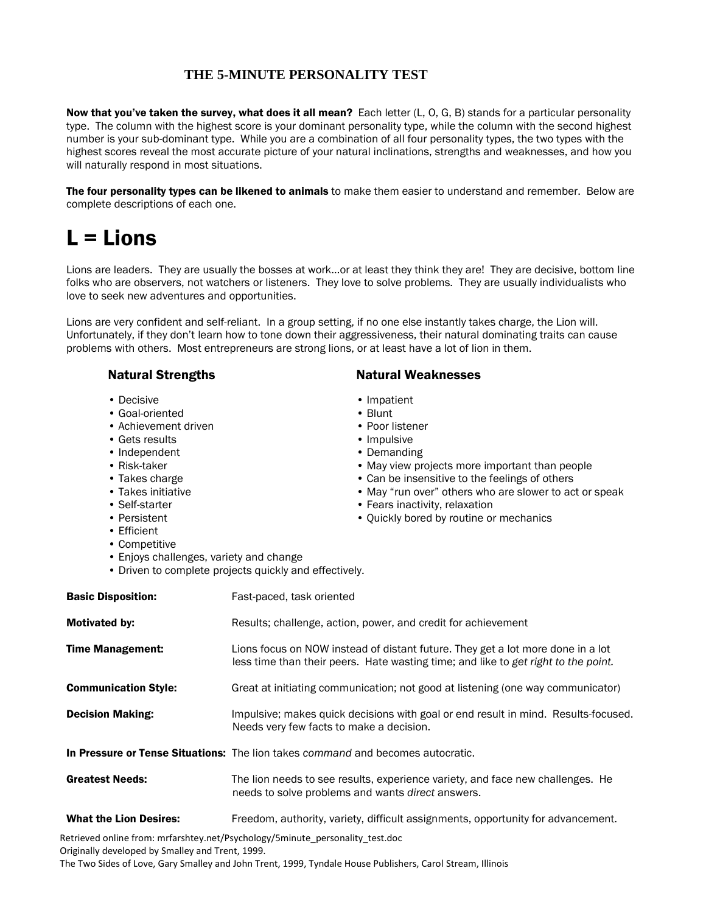### **THE 5-MINUTE PERSONALITY TEST**

Now that you've taken the survey, what does it all mean? Each letter (L, O, G, B) stands for a particular personality type. The column with the highest score is your dominant personality type, while the column with the second highest number is your sub-dominant type. While you are a combination of all four personality types, the two types with the highest scores reveal the most accurate picture of your natural inclinations, strengths and weaknesses, and how you will naturally respond in most situations.

The four personality types can be likened to animals to make them easier to understand and remember. Below are complete descriptions of each one.

## $L =$  Lions

Lions are leaders. They are usually the bosses at work…or at least they think they are! They are decisive, bottom line folks who are observers, not watchers or listeners. They love to solve problems. They are usually individualists who love to seek new adventures and opportunities.

Lions are very confident and self-reliant. In a group setting, if no one else instantly takes charge, the Lion will. Unfortunately, if they don't learn how to tone down their aggressiveness, their natural dominating traits can cause problems with others. Most entrepreneurs are strong lions, or at least have a lot of lion in them.

- Decisive Impatient
- Goal-oriented Blunt
- Achievement driven Poor listener
- Gets results Impulsive
- Independent **Demanding**
- 
- 
- 
- 
- 
- Efficient
- Competitive
- Enjoys challenges, variety and change
- Driven to complete projects quickly and effectively.

| <b>Basic Disposition:</b>     | Fast-paced, task oriented                                                                                                                                             |
|-------------------------------|-----------------------------------------------------------------------------------------------------------------------------------------------------------------------|
| <b>Motivated by:</b>          | Results; challenge, action, power, and credit for achievement                                                                                                         |
| <b>Time Management:</b>       | Lions focus on NOW instead of distant future. They get a lot more done in a lot<br>less time than their peers. Hate wasting time; and like to get right to the point. |
| <b>Communication Style:</b>   | Great at initiating communication; not good at listening (one way communicator)                                                                                       |
| <b>Decision Making:</b>       | Impulsive; makes quick decisions with goal or end result in mind. Results-focused.<br>Needs very few facts to make a decision.                                        |
|                               | In Pressure or Tense Situations: The lion takes command and becomes autocratic.                                                                                       |
| <b>Greatest Needs:</b>        | The lion needs to see results, experience variety, and face new challenges. He<br>needs to solve problems and wants direct answers.                                   |
| <b>What the Lion Desires:</b> | Freedom, authority, variety, difficult assignments, opportunity for advancement.                                                                                      |

Retrieved online from: mrfarshtey.net/Psychology/5minute\_personality\_test.doc Originally developed by Smalley and Trent, 1999.

The Two Sides of Love, Gary Smalley and John Trent, 1999, Tyndale House Publishers, Carol Stream, Illinois

### Natural Strengths Natural Weaknesses

- 
- 
- 
- 
- 
- Risk-taker May view projects more important than people
- Takes charge  **Can be insensitive to the feelings of others**
- Takes initiative May "run over" others who are slower to act or speak
- Self-starter Fears inactivity, relaxation
- Persistent Ouickly bored by routine or mechanics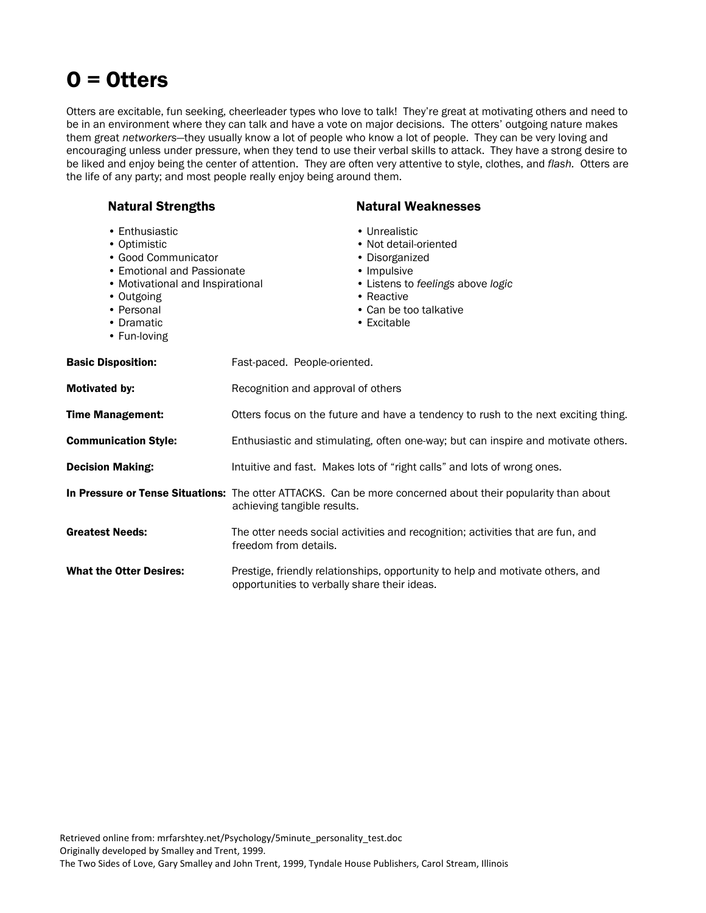# O = Otters

Otters are excitable, fun seeking, cheerleader types who love to talk! They're great at motivating others and need to be in an environment where they can talk and have a vote on major decisions. The otters' outgoing nature makes them great *networkers*—they usually know a lot of people who know a lot of people. They can be very loving and encouraging unless under pressure, when they tend to use their verbal skills to attack. They have a strong desire to be liked and enjoy being the center of attention. They are often very attentive to style, clothes, and *flash.* Otters are the life of any party; and most people really enjoy being around them.

| <b>Natural Strengths</b>                                                                                                                                                          |                                              | <b>Natural Weaknesses</b>                                                                                                                                           |
|-----------------------------------------------------------------------------------------------------------------------------------------------------------------------------------|----------------------------------------------|---------------------------------------------------------------------------------------------------------------------------------------------------------------------|
| • Enthusiastic<br>• Optimistic<br>• Good Communicator<br>• Emotional and Passionate<br>• Motivational and Inspirational<br>• Outgoing<br>• Personal<br>• Dramatic<br>• Fun-loving |                                              | • Unrealistic<br>• Not detail-oriented<br>• Disorganized<br>• Impulsive<br>• Listens to feelings above logic<br>• Reactive<br>• Can be too talkative<br>• Excitable |
| <b>Basic Disposition:</b>                                                                                                                                                         | Fast-paced. People-oriented.                 |                                                                                                                                                                     |
| <b>Motivated by:</b>                                                                                                                                                              | Recognition and approval of others           |                                                                                                                                                                     |
| Time Management:                                                                                                                                                                  |                                              | Otters focus on the future and have a tendency to rush to the next exciting thing.                                                                                  |
| <b>Communication Style:</b>                                                                                                                                                       |                                              | Enthusiastic and stimulating, often one-way; but can inspire and motivate others.                                                                                   |
| <b>Decision Making:</b>                                                                                                                                                           |                                              | Intuitive and fast. Makes lots of "right calls" and lots of wrong ones.                                                                                             |
|                                                                                                                                                                                   | achieving tangible results.                  | In Pressure or Tense Situations: The otter ATTACKS. Can be more concerned about their popularity than about                                                         |
| <b>Greatest Needs:</b>                                                                                                                                                            | freedom from details.                        | The otter needs social activities and recognition; activities that are fun, and                                                                                     |
| <b>What the Otter Desires:</b>                                                                                                                                                    | opportunities to verbally share their ideas. | Prestige, friendly relationships, opportunity to help and motivate others, and                                                                                      |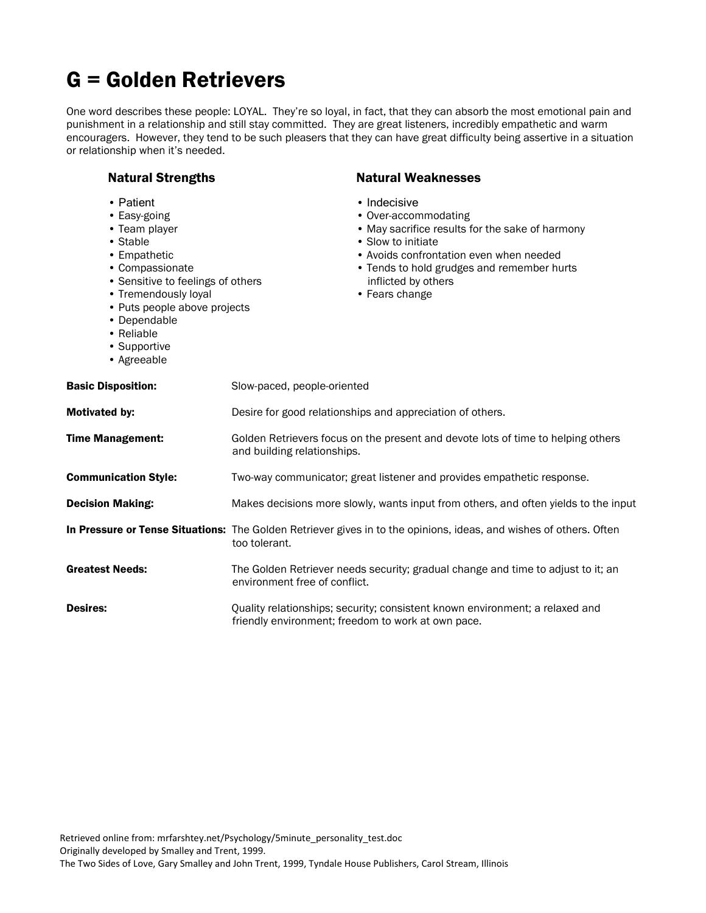# G = Golden Retrievers

One word describes these people: LOYAL. They're so loyal, in fact, that they can absorb the most emotional pain and punishment in a relationship and still stay committed. They are great listeners, incredibly empathetic and warm encouragers. However, they tend to be such pleasers that they can have great difficulty being assertive in a situation or relationship when it's needed.

| <b>Natural Strengths</b>                                                                                                                                                                                                                            | <b>Natural Weaknesses</b>                                                                                                                                                                                                                       |
|-----------------------------------------------------------------------------------------------------------------------------------------------------------------------------------------------------------------------------------------------------|-------------------------------------------------------------------------------------------------------------------------------------------------------------------------------------------------------------------------------------------------|
| • Patient<br>• Easy-going<br>• Team player<br>• Stable<br>• Empathetic<br>• Compassionate<br>• Sensitive to feelings of others<br>• Tremendously loyal<br>• Puts people above projects<br>• Dependable<br>• Reliable<br>• Supportive<br>• Agreeable | • Indecisive<br>• Over-accommodating<br>• May sacrifice results for the sake of harmony<br>• Slow to initiate<br>• Avoids confrontation even when needed<br>• Tends to hold grudges and remember hurts<br>inflicted by others<br>• Fears change |
| <b>Basic Disposition:</b>                                                                                                                                                                                                                           | Slow-paced, people-oriented                                                                                                                                                                                                                     |
| Motivated by:                                                                                                                                                                                                                                       | Desire for good relationships and appreciation of others.                                                                                                                                                                                       |
| <b>Time Management:</b>                                                                                                                                                                                                                             | Golden Retrievers focus on the present and devote lots of time to helping others<br>and building relationships.                                                                                                                                 |
| <b>Communication Style:</b>                                                                                                                                                                                                                         | Two-way communicator; great listener and provides empathetic response.                                                                                                                                                                          |
| <b>Decision Making:</b>                                                                                                                                                                                                                             | Makes decisions more slowly, wants input from others, and often yields to the input                                                                                                                                                             |
|                                                                                                                                                                                                                                                     | In Pressure or Tense Situations: The Golden Retriever gives in to the opinions, ideas, and wishes of others. Often<br>too tolerant.                                                                                                             |
| <b>Greatest Needs:</b>                                                                                                                                                                                                                              | The Golden Retriever needs security; gradual change and time to adjust to it; an<br>environment free of conflict.                                                                                                                               |
| <b>Desires:</b>                                                                                                                                                                                                                                     | Quality relationships; security; consistent known environment; a relaxed and<br>friendly environment; freedom to work at own pace.                                                                                                              |